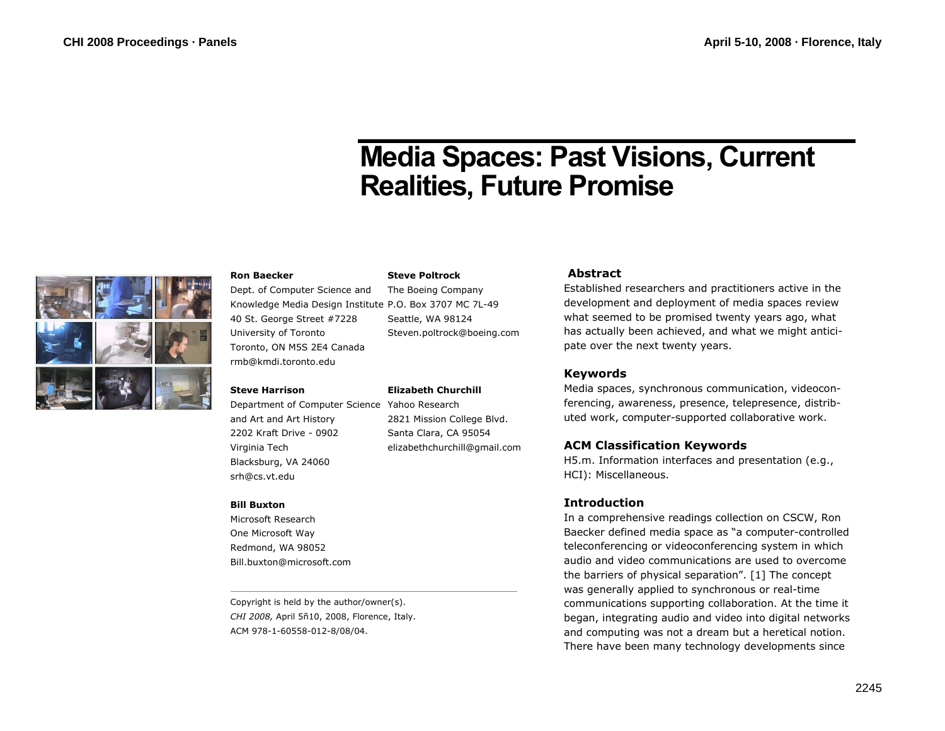# **Media Spaces: Past Visions, Current Realities, Future Promise**



#### **Ron Baecker**

Dept. of Computer Science and Knowledge Media Design Institute P.O. Box 3707 MC 7L-49 40 St. George Street #7228 University of Toronto Toronto, ON M5S 2E4 Canada rmb@kmdi.toronto.edu

#### **Steve Harrison**

Department of Computer Science Yahoo Research and Art and Art History 2202 Kraft Drive - 0902 Virginia Tech Blacksburg, VA 24060 srh@cs.vt.edu

#### **Bill Buxton**

Microsoft Research One Microsoft Way Redmond, WA 98052 Bill.buxton@microsoft.com

Copyright is held by the author/owner(s). *CHI 2008,* April 5ñ10, 2008, Florence, Italy. ACM 978-1-60558-012-8/08/04.

#### **Steve Poltrock**

**Elizabeth Churchill** 

2821 Mission College Blvd. Santa Clara, CA 95054 elizabethchurchill@gmail.com

The Boeing Company Seattle, WA 98124 Steven.poltrock@boeing.com

#### **Abstract**

Established researchers and practitioners active in the development and deployment of media spaces review what seemed to be promised twenty years ago, what has actually been achieved, and what we might anticipate over the next twenty years.

## **Keywords**

Media spaces, synchronous communication, videoconferencing, awareness, presence, telepresence, distributed work, computer-supported collaborative work.

## **ACM Classification Keywords**

H5.m. Information interfaces and presentation (e.g., HCI): Miscellaneous.

## **Introduction**

In a comprehensive readings collection on CSCW, Ron Baecker defined media space as "a computer-controlled teleconferencing or videoconferencing system in which audio and video communications are used to overcome the barriers of physical separation". [1] The concept was generally applied to synchronous or real-time communications supporting collaboration. At the time it began, integrating audio and video into digital networks and computing was not a dream but a heretical notion. There have been many technology developments since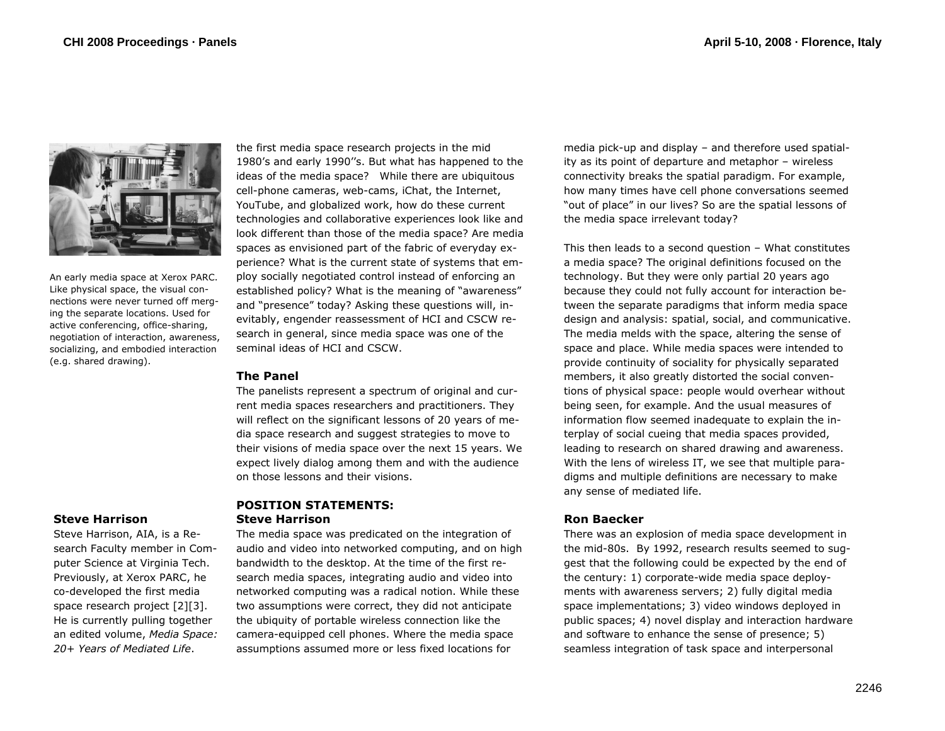

An early media space at Xerox PARC. Like physical space, the visual connections were never turned off merging the separate locations. Used for active conferencing, office-sharing, negotiation of interaction, awareness, socializing, and embodied interaction (e.g. shared drawing).

## the first media space research projects in the mid 1980's and early 1990''s. But what has happened to the ideas of the media space? While there are ubiquitous cell-phone cameras, web-cams, iChat, the Internet, YouTube, and globalized work, how do these current technologies and collaborative experiences look like and look different than those of the media space? Are media spaces as envisioned part of the fabric of everyday experience? What is the current state of systems that employ socially negotiated control instead of enforcing an established policy? What is the meaning of "awareness" and "presence" today? Asking these questions will, inevitably, engender reassessment of HCI and CSCW research in general, since media space was one of the seminal ideas of HCI and CSCW.

## **The Panel**

The panelists represent a spectrum of original and current media spaces researchers and practitioners. They will reflect on the significant lessons of 20 years of media space research and suggest strategies to move to their visions of media space over the next 15 years. We expect lively dialog among them and with the audience on those lessons and their visions.

## **POSITION STATEMENTS: Steve Harrison**

The media space was predicated on the integration of audio and video into networked computing, and on high bandwidth to the desktop. At the time of the first research media spaces, integrating audio and video into networked computing was a radical notion. While these two assumptions were correct, they did not anticipate the ubiquity of portable wireless connection like the camera-equipped cell phones. Where the media space assumptions assumed more or less fixed locations for

media pick-up and display – and therefore used spatiality as its point of departure and metaphor – wireless connectivity breaks the spatial paradigm. For example, how many times have cell phone conversations seemed "out of place" in our lives? So are the spatial lessons of the media space irrelevant today?

This then leads to a second question – What constitutes a media space? The original definitions focused on the technology. But they were only partial 20 years ago because they could not fully account for interaction between the separate paradigms that inform media space design and analysis: spatial, social, and communicative. The media melds with the space, altering the sense of space and place. While media spaces were intended to provide continuity of sociality for physically separated members, it also greatly distorted the social conventions of physical space: people would overhear without being seen, for example. And the usual measures of information flow seemed inadequate to explain the interplay of social cueing that media spaces provided, leading to research on shared drawing and awareness. With the lens of wireless IT, we see that multiple paradigms and multiple definitions are necessary to make any sense of mediated life.

## **Ron Baecker**

There was an explosion of media space development in the mid-80s. By 1992, research results seemed to suggest that the following could be expected by the end of the century: 1) corporate-wide media space deployments with awareness servers; 2) fully digital media space implementations; 3) video windows deployed in public spaces; 4) novel display and interaction hardware and software to enhance the sense of presence; 5) seamless integration of task space and interpersonal

## **Steve Harrison**

Steve Harrison, AIA, is a Research Faculty member in Computer Science at Virginia Tech. Previously, at Xerox PARC, he co-developed the first media space research project [2][3]. He is currently pulling together an edited volume, *Media Space: 20+ Years of Mediated Life*.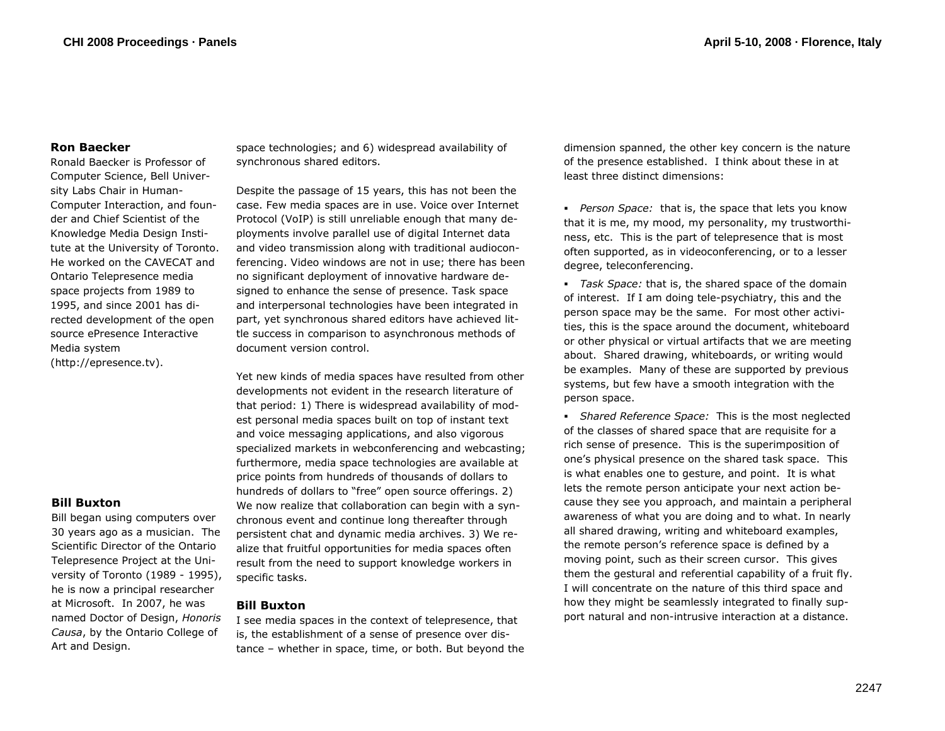## **Ron Baecker**

Ronald Baecker is Professor of Computer Science, Bell University Labs Chair in Human-Computer Interaction, and founder and Chief Scientist of the Knowledge Media Design Institute at the University of Toronto. He worked on the CAVECAT and Ontario Telepresence media space projects from 1989 to 1995, and since 2001 has directed development of the open source ePresence Interactive Media system (http://epresence.tv).

# **Bill Buxton**

Bill began using computers over 30 years ago as a musician. The Scientific Director of the Ontario Telepresence Project at the University of Toronto (1989 - 1995), he is now a principal researcher at Microsoft. In 2007, he was named Doctor of Design, *Honoris Causa*, by the Ontario College of Art and Design.

space technologies; and 6) widespread availability of synchronous shared editors.

Despite the passage of 15 years, this has not been the case. Few media spaces are in use. Voice over Internet Protocol (VoIP) is still unreliable enough that many deployments involve parallel use of digital Internet data and video transmission along with traditional audioconferencing. Video windows are not in use; there has been no significant deployment of innovative hardware designed to enhance the sense of presence. Task space and interpersonal technologies have been integrated in part, yet synchronous shared editors have achieved little success in comparison to asynchronous methods of document version control.

Yet new kinds of media spaces have resulted from other developments not evident in the research literature of that period: 1) There is widespread availability of modest personal media spaces built on top of instant text and voice messaging applications, and also vigorous specialized markets in webconferencing and webcasting; furthermore, media space technologies are available at price points from hundreds of thousands of dollars to hundreds of dollars to "free" open source offerings. 2) We now realize that collaboration can begin with a synchronous event and continue long thereafter through persistent chat and dynamic media archives. 3) We realize that fruitful opportunities for media spaces often result from the need to support knowledge workers in specific tasks.

## **Bill Buxton**

I see media spaces in the context of telepresence, that is, the establishment of a sense of presence over distance – whether in space, time, or both. But beyond the dimension spanned, the other key concern is the nature of the presence established. I think about these in at least three distinct dimensions:

 *Person Space:* that is, the space that lets you know that it is me, my mood, my personality, my trustworthiness, etc. This is the part of telepresence that is most often supported, as in videoconferencing, or to a lesser degree, teleconferencing.

 *Task Space:* that is, the shared space of the domain of interest. If I am doing tele-psychiatry, this and the person space may be the same. For most other activities, this is the space around the document, whiteboard or other physical or virtual artifacts that we are meeting about. Shared drawing, whiteboards, or writing would be examples. Many of these are supported by previous systems, but few have a smooth integration with the person space.

 *Shared Reference Space:* This is the most neglected of the classes of shared space that are requisite for a rich sense of presence. This is the superimposition of one's physical presence on the shared task space. This is what enables one to gesture, and point. It is what lets the remote person anticipate your next action because they see you approach, and maintain a peripheral awareness of what you are doing and to what. In nearly all shared drawing, writing and whiteboard examples, the remote person's reference space is defined by a moving point, such as their screen cursor. This gives them the gestural and referential capability of a fruit fly. I will concentrate on the nature of this third space and how they might be seamlessly integrated to finally support natural and non-intrusive interaction at a distance.